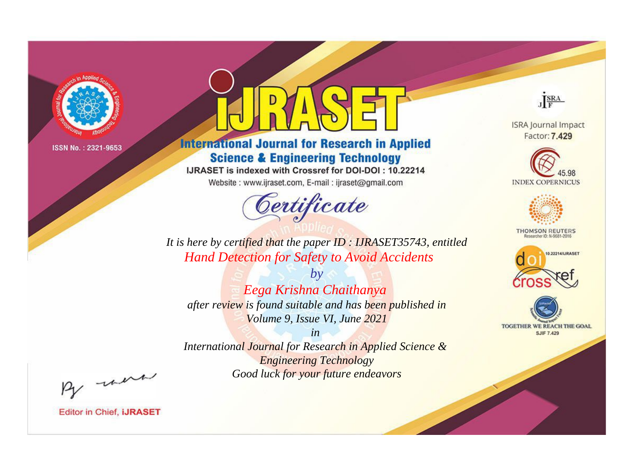

# **International Journal for Research in Applied Science & Engineering Technology**

IJRASET is indexed with Crossref for DOI-DOI: 10.22214

Website: www.ijraset.com, E-mail: ijraset@gmail.com



JERA

**ISRA Journal Impact** Factor: 7.429





**THOMSON REUTERS** 



TOGETHER WE REACH THE GOAL **SJIF 7.429** 

It is here by certified that the paper ID: IJRASET35743, entitled **Hand Detection for Safety to Avoid Accidents** 

 $b\nu$ Eega Krishna Chaithanya after review is found suitable and has been published in Volume 9, Issue VI, June 2021

 $in$ International Journal for Research in Applied Science & **Engineering Technology** Good luck for your future endeavors

By morn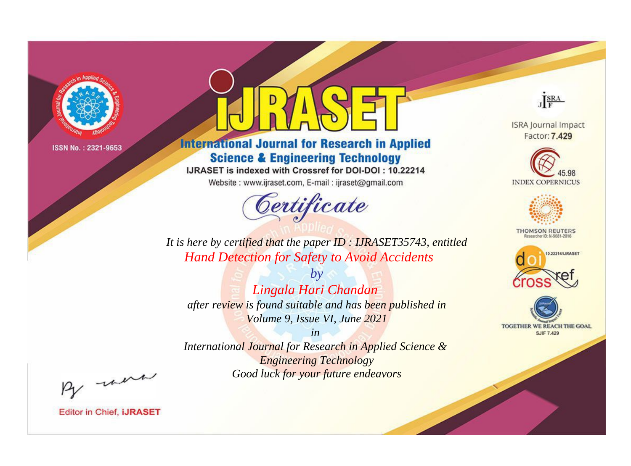

# **International Journal for Research in Applied Science & Engineering Technology**

IJRASET is indexed with Crossref for DOI-DOI: 10.22214

Website: www.ijraset.com, E-mail: ijraset@gmail.com



JERA

**ISRA Journal Impact** Factor: 7.429





**THOMSON REUTERS** 



TOGETHER WE REACH THE GOAL **SJIF 7.429** 

It is here by certified that the paper ID: IJRASET35743, entitled **Hand Detection for Safety to Avoid Accidents** 

 $b\nu$ Lingala Hari Chandan after review is found suitable and has been published in Volume 9, Issue VI, June 2021

 $in$ International Journal for Research in Applied Science & **Engineering Technology** Good luck for your future endeavors

By morn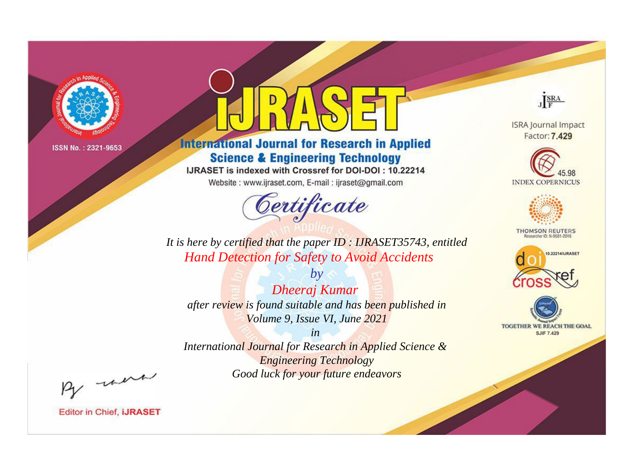

# **International Journal for Research in Applied Science & Engineering Technology**

IJRASET is indexed with Crossref for DOI-DOI: 10.22214

Website: www.ijraset.com, E-mail: ijraset@gmail.com



JERA

**ISRA Journal Impact** Factor: 7.429





**THOMSON REUTERS** 



TOGETHER WE REACH THE GOAL **SJIF 7.429** 

It is here by certified that the paper ID: IJRASET35743, entitled **Hand Detection for Safety to Avoid Accidents** 

**Dheeraj Kumar** after review is found suitable and has been published in Volume 9, Issue VI, June 2021

 $b\nu$ 

 $in$ International Journal for Research in Applied Science & **Engineering Technology** Good luck for your future endeavors

By morn